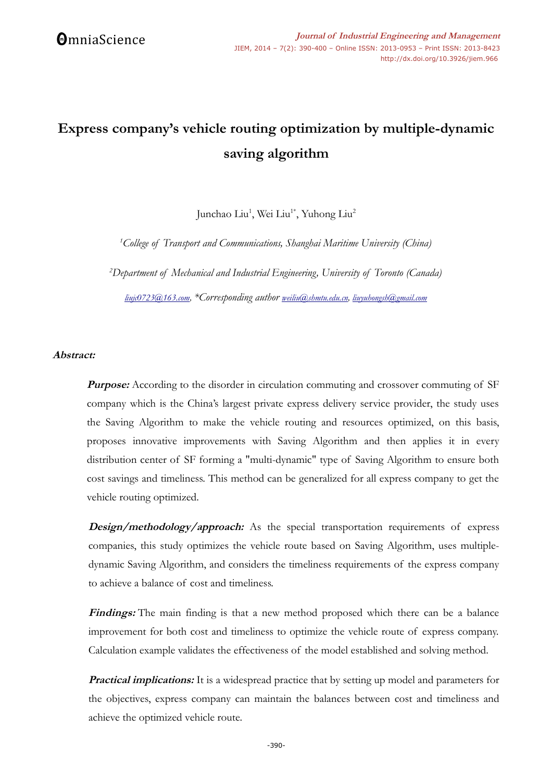# **Express company's vehicle routing optimization by multiple-dynamic saving algorithm**

Junchao Liu<sup>1</sup>, Wei Liu<sup>1\*</sup>, Yuhong Liu<sup>2</sup>

*<sup>1</sup>College of Transport and Communications, Shanghai Maritime University (China)*

*<sup>2</sup>Department of Mechanical and Industrial Engineering, University of Toronto (Canada)*

*[liujc0723@163.com,](mailto:liujc0723@163.com) \*Corresponding author [weiliu@shmtu.edu.cn,](mailto:weiliu@shmtu.edu.cn) liuyuhongsh@gmail.com*

# **Abstract:**

**Purpose:** According to the disorder in circulation commuting and crossover commuting of SF company which is the China's largest private express delivery service provider, the study uses the Saving Algorithm to make the vehicle routing and resources optimized, on this basis, proposes innovative improvements with Saving Algorithm and then applies it in every distribution center of SF forming a "multi-dynamic" type of Saving Algorithm to ensure both cost savings and timeliness. This method can be generalized for all express company to get the vehicle routing optimized.

**Design/methodology/approach:** As the special transportation requirements of express companies, this study optimizes the vehicle route based on Saving Algorithm, uses multipledynamic Saving Algorithm, and considers the timeliness requirements of the express company to achieve a balance of cost and timeliness.

Findings: The main finding is that a new method proposed which there can be a balance improvement for both cost and timeliness to optimize the vehicle route of express company. Calculation example validates the effectiveness of the model established and solving method.

**Practical implications:** It is a widespread practice that by setting up model and parameters for the objectives, express company can maintain the balances between cost and timeliness and achieve the optimized vehicle route.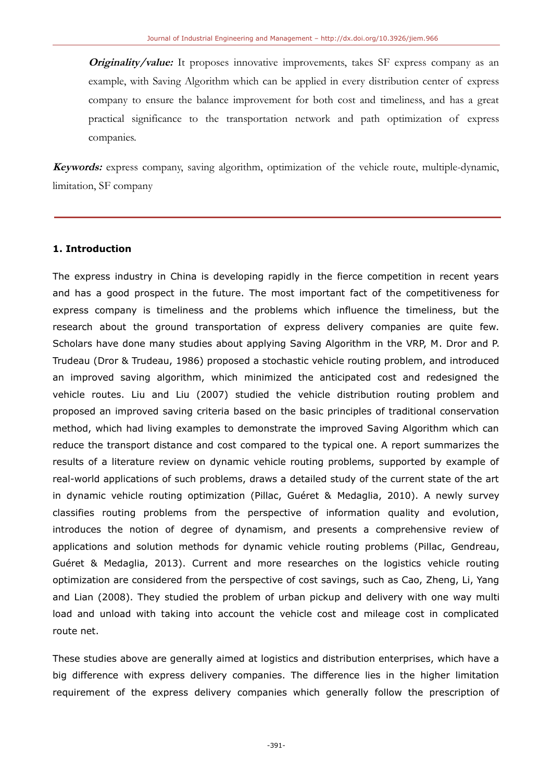**Originality/value:** It proposes innovative improvements, takes SF express company as an example, with Saving Algorithm which can be applied in every distribution center of express company to ensure the balance improvement for both cost and timeliness, and has a great practical significance to the transportation network and path optimization of express companies.

**Keywords:** express company, saving algorithm, optimization of the vehicle route, multiple-dynamic, limitation, SF company

# **1. Introduction**

The express industry in China is developing rapidly in the fierce competition in recent years and has a good prospect in the future. The most important fact of the competitiveness for express company is timeliness and the problems which influence the timeliness, but the research about the ground transportation of express delivery companies are quite few. Scholars have done many studies about applying Saving Algorithm in the VRP, M. Dror and P. Trudeau (Dror & Trudeau, 1986) proposed a stochastic vehicle routing problem, and introduced an improved saving algorithm, which minimized the anticipated cost and redesigned the vehicle routes. Liu and Liu (2007) studied the vehicle distribution routing problem and proposed an improved saving criteria based on the basic principles of traditional conservation method, which had living examples to demonstrate the improved Saving Algorithm which can reduce the transport distance and cost compared to the typical one. A report summarizes the results of a literature review on dynamic vehicle routing problems, supported by example of real-world applications of such problems, draws a detailed study of the current state of the art in dynamic vehicle routing optimization (Pillac, Guéret & Medaglia, 2010). A newly survey classifies routing problems from the perspective of information quality and evolution, introduces the notion of degree of dynamism, and presents a comprehensive review of applications and solution methods for dynamic vehicle routing problems (Pillac, Gendreau, Guéret & Medaglia, 2013). Current and more researches on the logistics vehicle routing optimization are considered from the perspective of cost savings, such as Cao, Zheng, Li, Yang and Lian (2008). They studied the problem of urban pickup and delivery with one way multi load and unload with taking into account the vehicle cost and mileage cost in complicated route net.

These studies above are generally aimed at logistics and distribution enterprises, which have a big difference with express delivery companies. The difference lies in the higher limitation requirement of the express delivery companies which generally follow the prescription of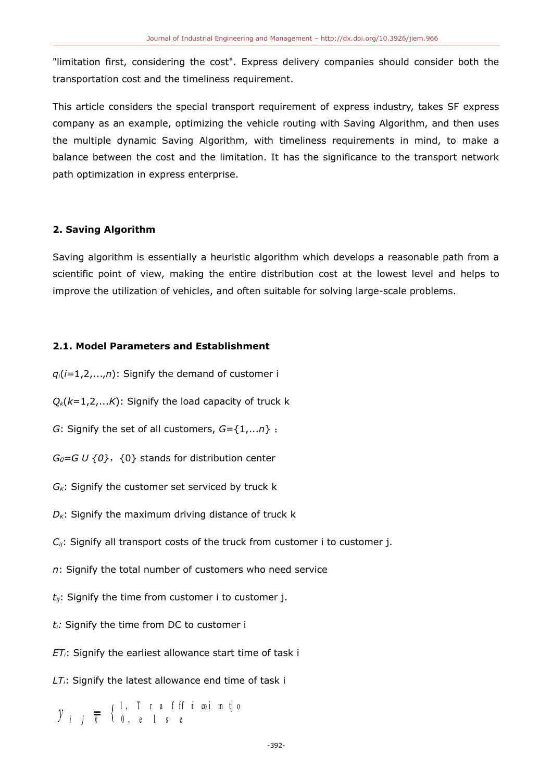"limitation first, considering the cost". Express delivery companies should consider both the transportation cost and the timeliness requirement.

This article considers the special transport requirement of express industry, takes SF express company as an example, optimizing the vehicle routing with Saving Algorithm, and then uses the multiple dynamic Saving Algorithm, with timeliness requirements in mind, to make a balance between the cost and the limitation. It has the significance to the transport network path optimization in express enterprise.

# **2. Saving Algorithm**

Saving algorithm is essentially a heuristic algorithm which develops a reasonable path from a scientific point of view, making the entire distribution cost at the lowest level and helps to improve the utilization of vehicles, and often suitable for solving large-scale problems.

# **2.1. Model Parameters and Establishment**

- $q_i(i=1,2,...,n)$ : Signify the demand of customer i
- $Q_k(k=1,2,...K)$ : Signify the load capacity of truck k
- *G*: Signify the set of all customers, *G*={1,...*n*} ;
- $G_0 = G U \{0\}$ ,  $\{0\}$  stands for distribution center
- *GK*: Signify the customer set serviced by truck k
- $D<sub>K</sub>$ : Signify the maximum driving distance of truck k
- *C<sub>ij</sub>*: Signify all transport costs of the truck from customer i to customer j.
- *n*: Signify the total number of customers who need service
- *tij*: Signify the time from customer i to customer j.
- *ti:* Signify the time from DC to customer i
- *ETi*: Signify the earliest allowance start time of task i
- *LTi*: Signify the latest allowance end time of task i

1, T r a f ff i coi m tjo  $\mathcal{Y}_{i}$   $\frac{1}{k}$   $\frac{1}{k}$   $\frac{1}{k}$   $\frac{1}{k}$   $\frac{1}{k}$   $\frac{1}{k}$   $\frac{1}{k}$   $\frac{1}{k}$   $\frac{1}{k}$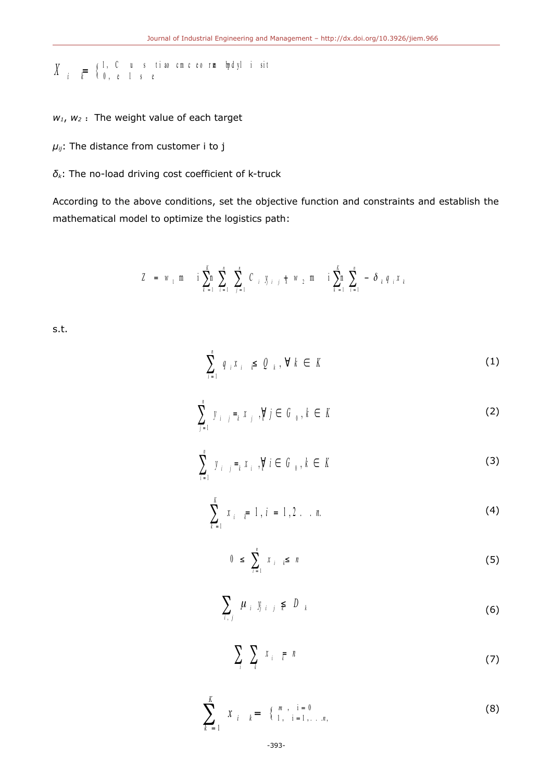$$
X_{i} = \begin{cases} 1, & C & u & s & t \text{ is a constant,} \\ 0, & e & l & s & e \end{cases}
$$

 $w_1$ ,  $w_2$  : The weight value of each target

*μij*: The distance from customer i to j

*δk*: The no-load driving cost coefficient of k-truck

According to the above conditions, set the objective function and constraints and establish the mathematical model to optimize the logistics path:

$$
Z = w_1 \text{ m} \quad \text{i} \sum_{k=1}^k \sum_{i=1}^n C_{i} y_{j} \quad \text{if} \quad w_2 \text{ m} \quad \text{i} \sum_{k=1}^k \sum_{i=1}^n - \delta_{k} q_{i} x_{k}
$$

s.t.

$$
\sum_{i=1}^{n} q_{i} x_{i} \geqslant Q_{k}, \forall k \in K
$$
 (1)

$$
\sum_{j=1}^{n} y_{i-j} =_{k} x_{j}, \forall j \in G_{0}, k \in K
$$
 (2)

$$
\sum_{i=1}^{n} y_{i-j} =_{k} x_{i}, \forall i \in G_{0}, k \in K
$$
\n(3)

$$
\sum_{k=1}^{K} x_{i} = 1, i = 1, 2 \dots n.
$$
 (4)

$$
0 \leq \sum_{i=1}^{n} x_i \leq n \tag{5}
$$

$$
\sum_{i,j} \mu_{i} y_{j,i,j} \leq D_{k}
$$
 (6)

$$
\sum_{i} \sum_{k} x_{i} \in \mathbb{R}^{n}
$$
 (7)

$$
\sum_{k=1}^{K} x_{i} = \begin{cases} m, & i = 0 \\ 1, & i = 1, \dots, n, \end{cases}
$$
 (8)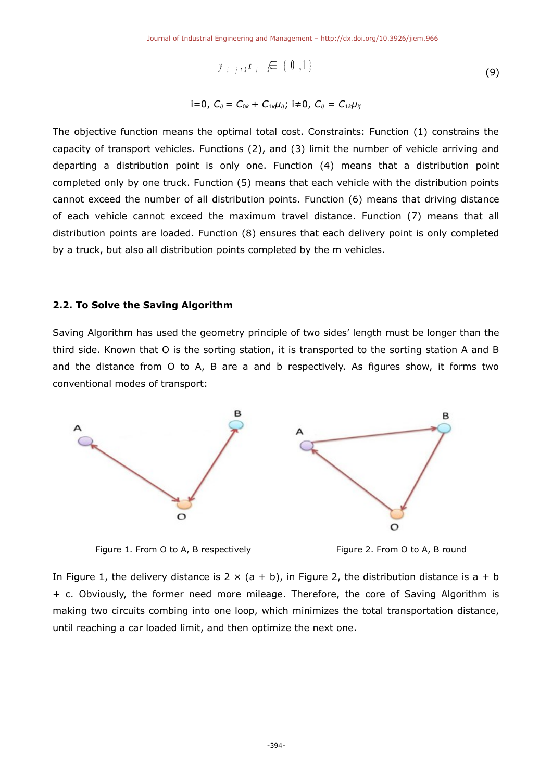$$
y_{i-j,k}x_{i-k} \in \{0,1\}
$$
 (9)

$$
i=0, C_{ij}= C_{0k}+ C_{1k}\mu_{ij}; i\neq 0, C_{ij}= C_{1k}\mu_{ij}
$$

The objective function means the optimal total cost. Constraints: Function (1) constrains the capacity of transport vehicles. Functions (2), and (3) limit the number of vehicle arriving and departing a distribution point is only one. Function (4) means that a distribution point completed only by one truck. Function (5) means that each vehicle with the distribution points cannot exceed the number of all distribution points. Function (6) means that driving distance of each vehicle cannot exceed the maximum travel distance. Function (7) means that all distribution points are loaded. Function (8) ensures that each delivery point is only completed by a truck, but also all distribution points completed by the m vehicles.

## **2.2. To Solve the Saving Algorithm**

Saving Algorithm has used the geometry principle of two sides' length must be longer than the third side. Known that O is the sorting station, it is transported to the sorting station A and B and the distance from O to A, B are a and b respectively. As figures show, it forms two conventional modes of transport:



Figure 1. From O to A, B respectively Figure 2. From O to A, B round



In Figure 1, the delivery distance is  $2 \times (a + b)$ , in Figure 2, the distribution distance is  $a + b$ + c. Obviously, the former need more mileage. Therefore, the core of Saving Algorithm is making two circuits combing into one loop, which minimizes the total transportation distance, until reaching a car loaded limit, and then optimize the next one.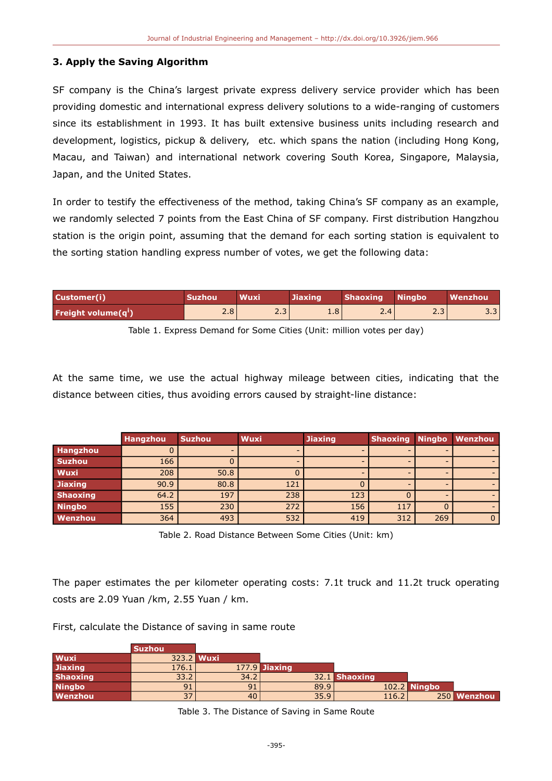# **3. Apply the Saving Algorithm**

SF company is the China's largest private express delivery service provider which has been providing domestic and international express delivery solutions to a wide-ranging of customers since its establishment in 1993. It has built extensive business units including research and development, logistics, pickup & delivery, etc. which spans the nation (including Hong Kong, Macau, and Taiwan) and international network covering South Korea, Singapore, Malaysia, Japan, and the United States.

In order to testify the effectiveness of the method, taking China's SF company as an example, we randomly selected 7 points from the East China of SF company. First distribution Hangzhou station is the origin point, assuming that the demand for each sorting station is equivalent to the sorting station handling express number of votes, we get the following data:

| Customer(i)                          | <b>Suzhou</b> | <b>Wuxi</b>      | <b>Jiaxing</b> | Shaoxing Ningbo |     | Wenzhou |
|--------------------------------------|---------------|------------------|----------------|-----------------|-----|---------|
| <b>Freight volume(q<sup>i</sup>)</b> | 2.8           | 2.3 <sub>1</sub> | 4.8'           | 2.4             | د.ء | 3.3     |

Table 1. Express Demand for Some Cities (Unit: million votes per day)

At the same time, we use the actual highway mileage between cities, indicating that the distance between cities, thus avoiding errors caused by straight-line distance:

|                 | <b>Hangzhou</b> | <b>Suzhou</b> | <b>Wuxi</b> | <b>Jiaxing</b> | <b>Shaoxing</b> |     | Ningbo Wenzhou |
|-----------------|-----------------|---------------|-------------|----------------|-----------------|-----|----------------|
| <b>Hangzhou</b> |                 |               |             |                |                 |     |                |
| <b>Suzhou</b>   | 166             |               |             |                |                 |     |                |
| Wuxi            | 208             | 50.8          |             |                |                 |     |                |
| <b>Jiaxing</b>  | 90.9            | 80.8          | 121         |                |                 |     |                |
| <b>Shaoxing</b> | 64.2            | 197           | 238         | 123            |                 |     |                |
| <b>Ningbo</b>   | 155             | 230           | 272         | 156            | 117             |     |                |
| Wenzhou         | 364             | 493           | 532         | 419            | 312             | 269 | $\mathbf{0}$   |

Table 2. Road Distance Between Some Cities (Unit: km)

The paper estimates the per kilometer operating costs: 7.1t truck and 11.2t truck operating costs are 2.09 Yuan /km, 2.55 Yuan / km.

|  | First, calculate the Distance of saving in same route |  |  |  |  |  |  |  |
|--|-------------------------------------------------------|--|--|--|--|--|--|--|
|--|-------------------------------------------------------|--|--|--|--|--|--|--|

|                 | <b>Suzhou</b> |      |                 |               |                     |             |
|-----------------|---------------|------|-----------------|---------------|---------------------|-------------|
| Wuxi            | 323.2 Wuxi    |      |                 |               |                     |             |
| <b>Jiaxing</b>  | 176.1         |      | $177.9$ Jiaxing |               |                     |             |
| <b>Shaoxing</b> | 33.2          | 34.2 |                 | 32.1 Shaoxing |                     |             |
| <b>Ningbo</b>   | 91            |      | 89.9            |               | <b>102.2 Ningbo</b> |             |
| Wenzhou         | 37            | 40   | 35.9            | 116.2         |                     | 250 Wenzhou |

Table 3. The Distance of Saving in Same Route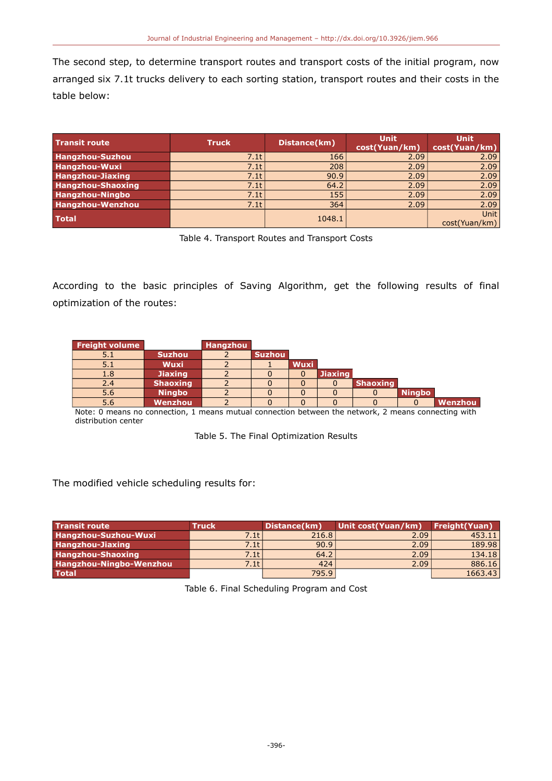The second step, to determine transport routes and transport costs of the initial program, now arranged six 7.1t trucks delivery to each sorting station, transport routes and their costs in the table below:

| <b>Transit route</b>     | <b>Truck</b> | Distance(km) | <b>Unit</b><br>cost(Yuan/km) | <b>Unit</b><br>cost(Yuan/km) |
|--------------------------|--------------|--------------|------------------------------|------------------------------|
| Hangzhou-Suzhou          | 7.1t         | 166          | 2.09                         | 2.09                         |
| Hangzhou-Wuxi            | 7.1t         | 208          | 2.09                         | 2.09                         |
| <b>Hangzhou-Jiaxing</b>  | 7.1t         | 90.9         | 2.09                         | 2.09                         |
| <b>Hangzhou-Shaoxing</b> | 7.1t         | 64.2         | 2.09                         | 2.09                         |
| <b>Hangzhou-Ningbo</b>   | 7.1t         | 155          | 2.09                         | 2.09                         |
| Hangzhou-Wenzhou         | 7.1t         | 364          | 2.09                         | 2.09                         |
| <b>Total</b>             |              | 1048.1       |                              | <b>Unit</b><br>cost(Yuan/km) |

Table 4. Transport Routes and Transport Costs

According to the basic principles of Saving Algorithm, get the following results of final optimization of the routes:

| <b>Freight volume</b> |                 | <b>Hangzhou</b> |               |             |                |                 |               |                                                                                                                 |
|-----------------------|-----------------|-----------------|---------------|-------------|----------------|-----------------|---------------|-----------------------------------------------------------------------------------------------------------------|
| 5.1                   | <b>Suzhou</b>   |                 | <b>Suzhou</b> |             |                |                 |               |                                                                                                                 |
| 5.1                   | <b>Wuxi</b>     |                 |               | <b>Wuxi</b> |                |                 |               |                                                                                                                 |
| 1.8                   | <b>Jiaxing</b>  |                 |               |             | <b>Jiaxing</b> |                 |               |                                                                                                                 |
| 2.4                   | <b>Shaoxing</b> |                 |               |             |                | <b>Shaoxing</b> |               |                                                                                                                 |
| 5.6                   | <b>Ningbo</b>   |                 |               |             |                |                 | <b>Ningbo</b> |                                                                                                                 |
| 5.6                   | Wenzhou         |                 |               |             |                |                 |               | Wenzhou                                                                                                         |
|                       |                 |                 |               |             |                |                 |               | the contract of the contract of the contract of the contract of the contract of the contract of the contract of |

Note: 0 means no connection, 1 means mutual connection between the network, 2 means connecting with distribution center

|  | Table 5. The Final Optimization Results |  |
|--|-----------------------------------------|--|

# The modified vehicle scheduling results for:

| <b>Transit route</b>     | <b>Truck</b> | Distance(km) | Unit cost(Yuan/km) | Freight (Yuan) |
|--------------------------|--------------|--------------|--------------------|----------------|
| Hangzhou-Suzhou-Wuxi     | 7.1tl        | 216.8        | 2.09 <sub>1</sub>  | 453.11         |
| <b>Hangzhou-Jiaxing</b>  | 7.1t l       | 90.9         | 2.09               | 189.98         |
| <b>Hangzhou-Shaoxing</b> | 7.1tl        | 64.2         | 2.09               | 134.18         |
| Hangzhou-Ningbo-Wenzhou  | 7.1tl        | 424          | 2.09               | 886.16         |
| <b>Total</b>             |              | 795.9        |                    | 1663.43        |

Table 6. Final Scheduling Program and Cost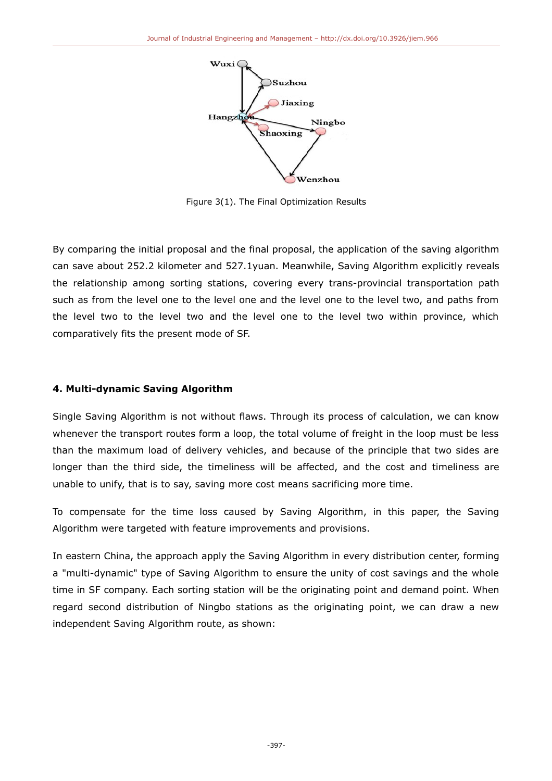

Figure 3(1). The Final Optimization Results

By comparing the initial proposal and the final proposal, the application of the saving algorithm can save about 252.2 kilometer and 527.1yuan. Meanwhile, Saving Algorithm explicitly reveals the relationship among sorting stations, covering every trans-provincial transportation path such as from the level one to the level one and the level one to the level two, and paths from the level two to the level two and the level one to the level two within province, which comparatively fits the present mode of SF.

# **4. Multi-dynamic Saving Algorithm**

Single Saving Algorithm is not without flaws. Through its process of calculation, we can know whenever the transport routes form a loop, the total volume of freight in the loop must be less than the maximum load of delivery vehicles, and because of the principle that two sides are longer than the third side, the timeliness will be affected, and the cost and timeliness are unable to unify, that is to say, saving more cost means sacrificing more time.

To compensate for the time loss caused by Saving Algorithm, in this paper, the Saving Algorithm were targeted with feature improvements and provisions.

In eastern China, the approach apply the Saving Algorithm in every distribution center, forming a "multi-dynamic" type of Saving Algorithm to ensure the unity of cost savings and the whole time in SF company. Each sorting station will be the originating point and demand point. When regard second distribution of Ningbo stations as the originating point, we can draw a new independent Saving Algorithm route, as shown: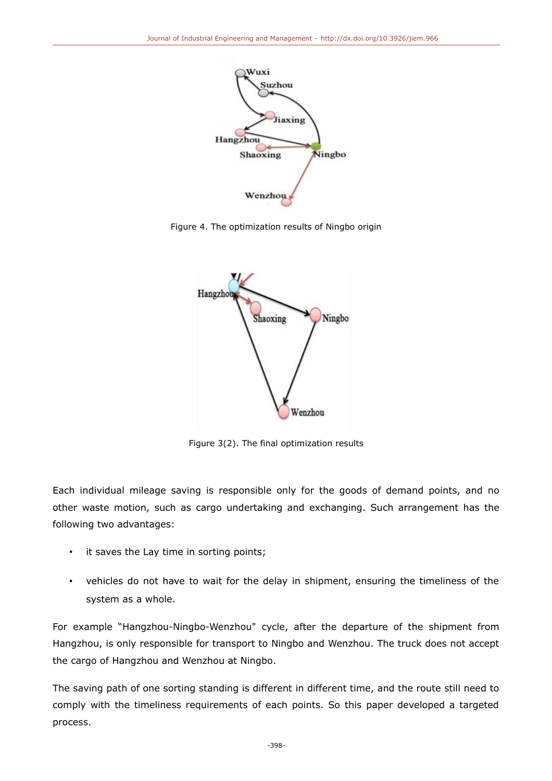

Figure 4. The optimization results of Ningbo origin



Figure 3(2). The final optimization results

Each individual mileage saving is responsible only for the goods of demand points, and no other waste motion, such as cargo undertaking and exchanging. Such arrangement has the following two advantages:

- it saves the Lay time in sorting points;
- vehicles do not have to wait for the delay in shipment, ensuring the timeliness of the system as a whole.

For example "Hangzhou-Ningbo-Wenzhou" cycle, after the departure of the shipment from Hangzhou, is only responsible for transport to Ningbo and Wenzhou. The truck does not accept the cargo of Hangzhou and Wenzhou at Ningbo.

The saving path of one sorting standing is different in different time, and the route still need to comply with the timeliness requirements of each points. So this paper developed a targeted process.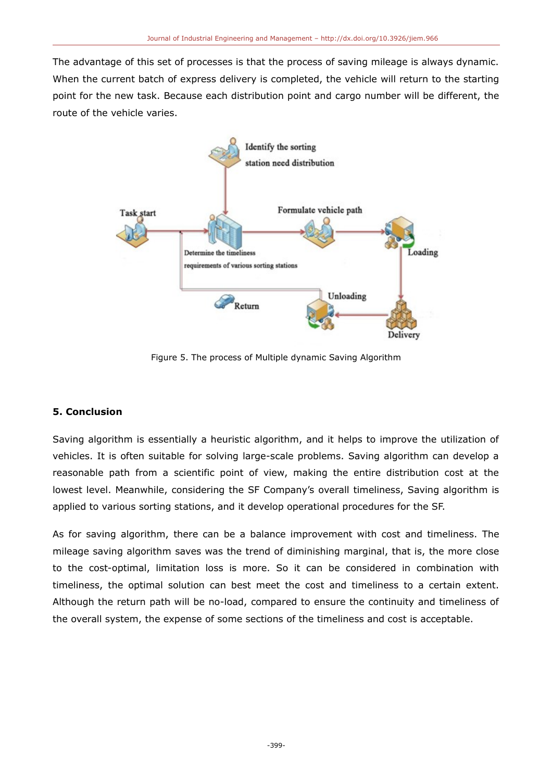The advantage of this set of processes is that the process of saving mileage is always dynamic. When the current batch of express delivery is completed, the vehicle will return to the starting point for the new task. Because each distribution point and cargo number will be different, the route of the vehicle varies.



Figure 5. The process of Multiple dynamic Saving Algorithm

# **5. Conclusion**

Saving algorithm is essentially a heuristic algorithm, and it helps to improve the utilization of vehicles. It is often suitable for solving large-scale problems. Saving algorithm can develop a reasonable path from a scientific point of view, making the entire distribution cost at the lowest level. Meanwhile, considering the SF Company's overall timeliness, Saving algorithm is applied to various sorting stations, and it develop operational procedures for the SF.

As for saving algorithm, there can be a balance improvement with cost and timeliness. The mileage saving algorithm saves was the trend of diminishing marginal, that is, the more close to the cost-optimal, limitation loss is more. So it can be considered in combination with timeliness, the optimal solution can best meet the cost and timeliness to a certain extent. Although the return path will be no-load, compared to ensure the continuity and timeliness of the overall system, the expense of some sections of the timeliness and cost is acceptable.